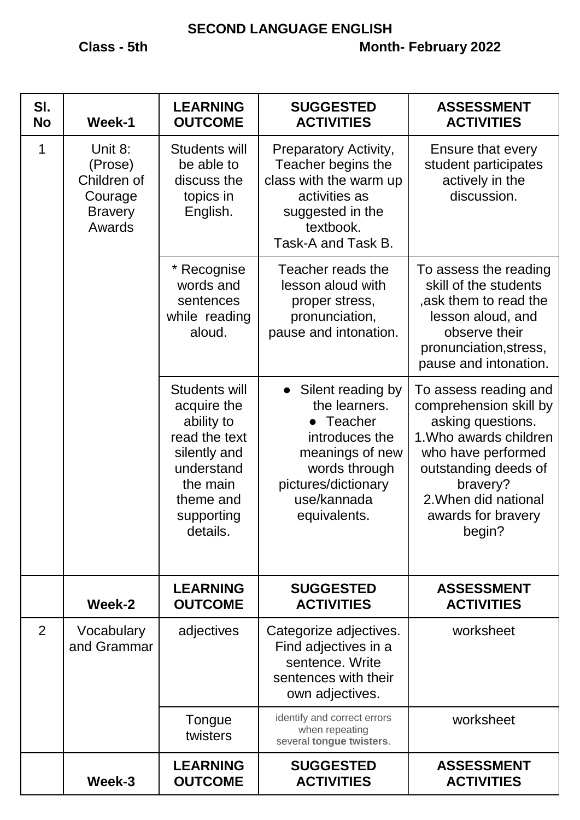## **SECOND LANGUAGE ENGLISH**

| SI.<br><b>No</b> | Week-1                                                                   | <b>LEARNING</b><br><b>OUTCOME</b>                                                                                                            | <b>SUGGESTED</b><br><b>ACTIVITIES</b>                                                                                                                         | <b>ASSESSMENT</b><br><b>ACTIVITIES</b>                                                                                                                                                                           |
|------------------|--------------------------------------------------------------------------|----------------------------------------------------------------------------------------------------------------------------------------------|---------------------------------------------------------------------------------------------------------------------------------------------------------------|------------------------------------------------------------------------------------------------------------------------------------------------------------------------------------------------------------------|
| 1                | Unit 8:<br>(Prose)<br>Children of<br>Courage<br><b>Bravery</b><br>Awards | Students will<br>be able to<br>discuss the<br>topics in<br>English.                                                                          | <b>Preparatory Activity,</b><br>Teacher begins the<br>class with the warm up<br>activities as<br>suggested in the<br>textbook.<br>Task-A and Task B.          | Ensure that every<br>student participates<br>actively in the<br>discussion.                                                                                                                                      |
|                  |                                                                          | * Recognise<br>words and<br>sentences<br>while reading<br>aloud.                                                                             | Teacher reads the<br>lesson aloud with<br>proper stress,<br>pronunciation,<br>pause and intonation.                                                           | To assess the reading<br>skill of the students<br>,ask them to read the<br>lesson aloud, and<br>observe their<br>pronunciation, stress,<br>pause and intonation.                                                 |
|                  |                                                                          | Students will<br>acquire the<br>ability to<br>read the text<br>silently and<br>understand<br>the main<br>theme and<br>supporting<br>details. | • Silent reading by<br>the learners.<br>• Teacher<br>introduces the<br>meanings of new<br>words through<br>pictures/dictionary<br>use/kannada<br>equivalents. | To assess reading and<br>comprehension skill by<br>asking questions.<br>1. Who awards children<br>who have performed<br>outstanding deeds of<br>bravery?<br>2. When did national<br>awards for bravery<br>begin? |
|                  | Week-2                                                                   | <b>LEARNING</b><br><b>OUTCOME</b>                                                                                                            | <b>SUGGESTED</b><br><b>ACTIVITIES</b>                                                                                                                         | <b>ASSESSMENT</b><br><b>ACTIVITIES</b>                                                                                                                                                                           |
| 2                | Vocabulary<br>and Grammar                                                | adjectives                                                                                                                                   | Categorize adjectives.<br>Find adjectives in a<br>sentence. Write<br>sentences with their<br>own adjectives.                                                  | worksheet                                                                                                                                                                                                        |
|                  |                                                                          | Tongue<br>twisters                                                                                                                           | identify and correct errors<br>when repeating<br>several tongue twisters.                                                                                     | worksheet                                                                                                                                                                                                        |
|                  | Week-3                                                                   | <b>LEARNING</b><br><b>OUTCOME</b>                                                                                                            | <b>SUGGESTED</b><br><b>ACTIVITIES</b>                                                                                                                         | <b>ASSESSMENT</b><br><b>ACTIVITIES</b>                                                                                                                                                                           |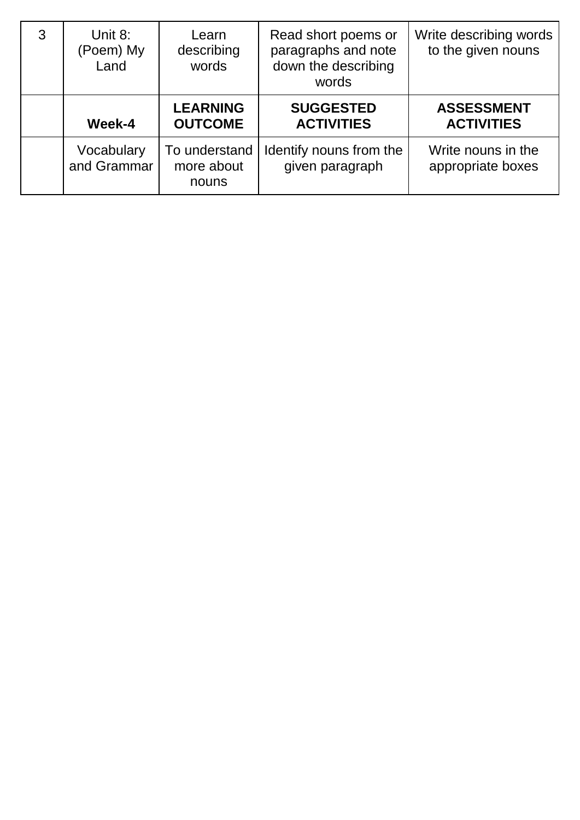| 3 | Unit 8:<br>(Poem) My<br>Land | Learn<br>describing<br>words         | Read short poems or<br>paragraphs and note<br>down the describing<br>words | Write describing words<br>to the given nouns |
|---|------------------------------|--------------------------------------|----------------------------------------------------------------------------|----------------------------------------------|
|   | Week-4                       | <b>LEARNING</b><br><b>OUTCOME</b>    | <b>SUGGESTED</b><br><b>ACTIVITIES</b>                                      | <b>ASSESSMENT</b><br><b>ACTIVITIES</b>       |
|   | Vocabulary<br>and Grammar    | To understand<br>more about<br>nouns | Identify nouns from the<br>given paragraph                                 | Write nouns in the<br>appropriate boxes      |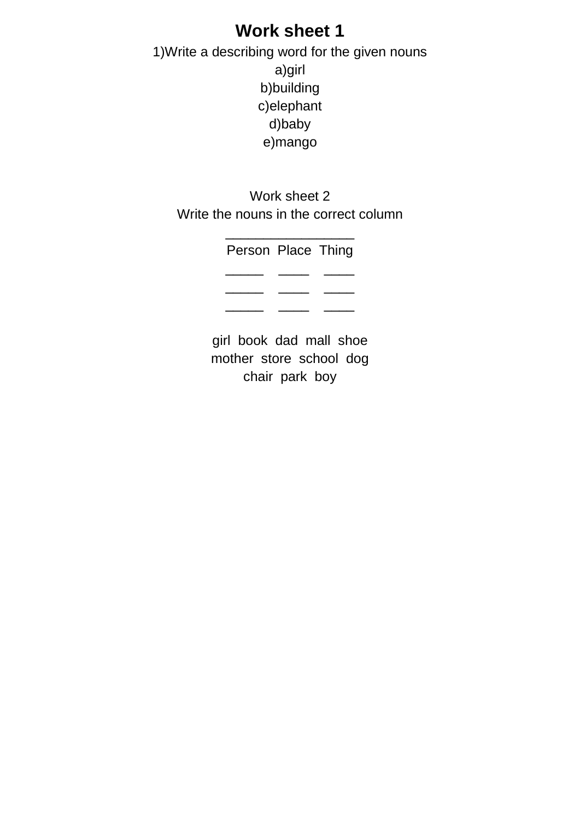## **Work sheet 1**

1)Write a describing word for the given nouns a)girl b)building c)elephant d)baby e)mango

Work sheet 2 Write the nouns in the correct column

\_\_\_\_\_\_\_\_\_\_\_\_\_\_\_\_\_

| Person Place Thing |  |
|--------------------|--|
|                    |  |
|                    |  |
|                    |  |

girl book dad mall shoe mother store school dog chair park boy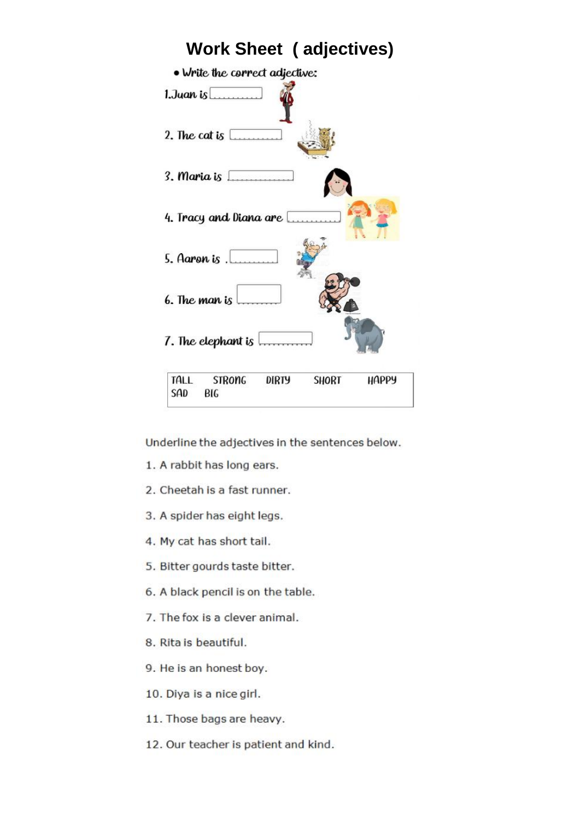

Underline the adjectives in the sentences below.

- 1. A rabbit has long ears.
- 2. Cheetah is a fast runner.
- 3. A spider has eight legs.
- 4. My cat has short tail.
- 5. Bitter gourds taste bitter.
- 6. A black pencil is on the table.
- 7. The fox is a clever animal.
- 8. Rita is beautiful.
- 9. He is an honest boy.
- 10. Diya is a nice girl.
- 11. Those bags are heavy.
- 12. Our teacher is patient and kind.